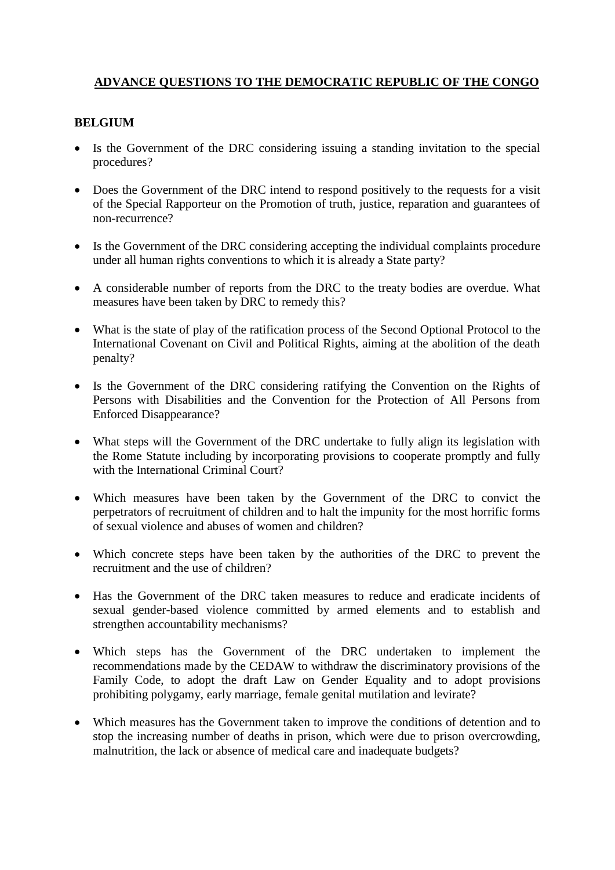# **ADVANCE QUESTIONS TO THE DEMOCRATIC REPUBLIC OF THE CONGO**

#### **BELGIUM**

- Is the Government of the DRC considering issuing a standing invitation to the special procedures?
- Does the Government of the DRC intend to respond positively to the requests for a visit of the Special Rapporteur on the Promotion of truth, justice, reparation and guarantees of non-recurrence?
- Is the Government of the DRC considering accepting the individual complaints procedure under all human rights conventions to which it is already a State party?
- A considerable number of reports from the DRC to the treaty bodies are overdue. What measures have been taken by DRC to remedy this?
- What is the state of play of the ratification process of the Second Optional Protocol to the International Covenant on Civil and Political Rights, aiming at the abolition of the death penalty?
- Is the Government of the DRC considering ratifying the Convention on the Rights of Persons with Disabilities and the Convention for the Protection of All Persons from Enforced Disappearance?
- What steps will the Government of the DRC undertake to fully align its legislation with the Rome Statute including by incorporating provisions to cooperate promptly and fully with the International Criminal Court?
- Which measures have been taken by the Government of the DRC to convict the perpetrators of recruitment of children and to halt the impunity for the most horrific forms of sexual violence and abuses of women and children?
- Which concrete steps have been taken by the authorities of the DRC to prevent the recruitment and the use of children?
- Has the Government of the DRC taken measures to reduce and eradicate incidents of sexual gender-based violence committed by armed elements and to establish and strengthen accountability mechanisms?
- Which steps has the Government of the DRC undertaken to implement the recommendations made by the CEDAW to withdraw the discriminatory provisions of the Family Code, to adopt the draft Law on Gender Equality and to adopt provisions prohibiting polygamy, early marriage, female genital mutilation and levirate?
- Which measures has the Government taken to improve the conditions of detention and to stop the increasing number of deaths in prison, which were due to prison overcrowding, malnutrition, the lack or absence of medical care and inadequate budgets?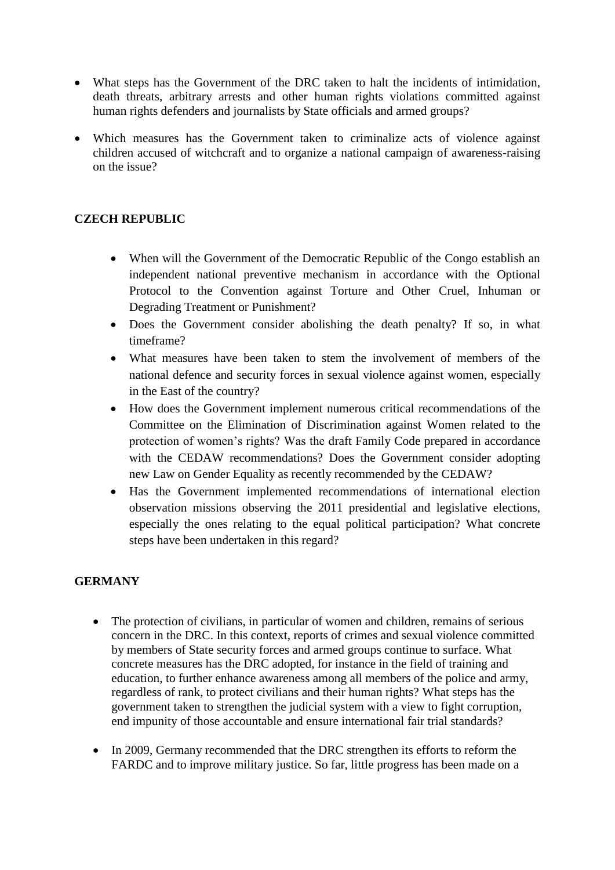- What steps has the Government of the DRC taken to halt the incidents of intimidation, death threats, arbitrary arrests and other human rights violations committed against human rights defenders and journalists by State officials and armed groups?
- Which measures has the Government taken to criminalize acts of violence against children accused of witchcraft and to organize a national campaign of awareness-raising on the issue?

### **CZECH REPUBLIC**

- When will the Government of the Democratic Republic of the Congo establish an independent national preventive mechanism in accordance with the Optional Protocol to the Convention against Torture and Other Cruel, Inhuman or Degrading Treatment or Punishment?
- Does the Government consider abolishing the death penalty? If so, in what timeframe?
- What measures have been taken to stem the involvement of members of the national defence and security forces in sexual violence against women, especially in the East of the country?
- How does the Government implement numerous critical recommendations of the Committee on the Elimination of Discrimination against Women related to the protection of women's rights? Was the draft Family Code prepared in accordance with the CEDAW recommendations? Does the Government consider adopting new Law on Gender Equality as recently recommended by the CEDAW?
- Has the Government implemented recommendations of international election observation missions observing the 2011 presidential and legislative elections, especially the ones relating to the equal political participation? What concrete steps have been undertaken in this regard?

### **GERMANY**

- The protection of civilians, in particular of women and children, remains of serious concern in the DRC. In this context, reports of crimes and sexual violence committed by members of State security forces and armed groups continue to surface. What concrete measures has the DRC adopted, for instance in the field of training and education, to further enhance awareness among all members of the police and army, regardless of rank, to protect civilians and their human rights? What steps has the government taken to strengthen the judicial system with a view to fight corruption, end impunity of those accountable and ensure international fair trial standards?
- In 2009, Germany recommended that the DRC strengthen its efforts to reform the FARDC and to improve military justice. So far, little progress has been made on a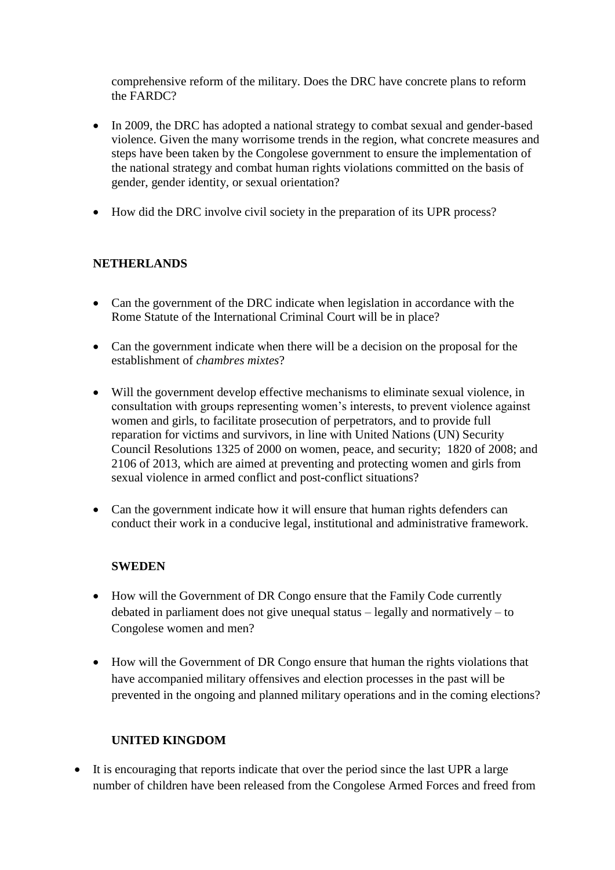comprehensive reform of the military. Does the DRC have concrete plans to reform the FARDC?

- In 2009, the DRC has adopted a national strategy to combat sexual and gender-based violence. Given the many worrisome trends in the region, what concrete measures and steps have been taken by the Congolese government to ensure the implementation of the national strategy and combat human rights violations committed on the basis of gender, gender identity, or sexual orientation?
- How did the DRC involve civil society in the preparation of its UPR process?

# **NETHERLANDS**

- Can the government of the DRC indicate when legislation in accordance with the Rome Statute of the International Criminal Court will be in place?
- Can the government indicate when there will be a decision on the proposal for the establishment of *chambres mixtes*?
- Will the government develop effective mechanisms to eliminate sexual violence, in consultation with groups representing women's interests, to prevent violence against women and girls, to facilitate prosecution of perpetrators, and to provide full reparation for victims and survivors, in line with United Nations (UN) Security Council Resolutions 1325 of 2000 on women, peace, and security; 1820 of 2008; and 2106 of 2013, which are aimed at preventing and protecting women and girls from sexual violence in armed conflict and post-conflict situations?
- Can the government indicate how it will ensure that human rights defenders can conduct their work in a conducive legal, institutional and administrative framework.

### **SWEDEN**

- How will the Government of DR Congo ensure that the Family Code currently debated in parliament does not give unequal status – legally and normatively – to Congolese women and men?
- How will the Government of DR Congo ensure that human the rights violations that have accompanied military offensives and election processes in the past will be prevented in the ongoing and planned military operations and in the coming elections?

### **UNITED KINGDOM**

• It is encouraging that reports indicate that over the period since the last UPR a large number of children have been released from the Congolese Armed Forces and freed from